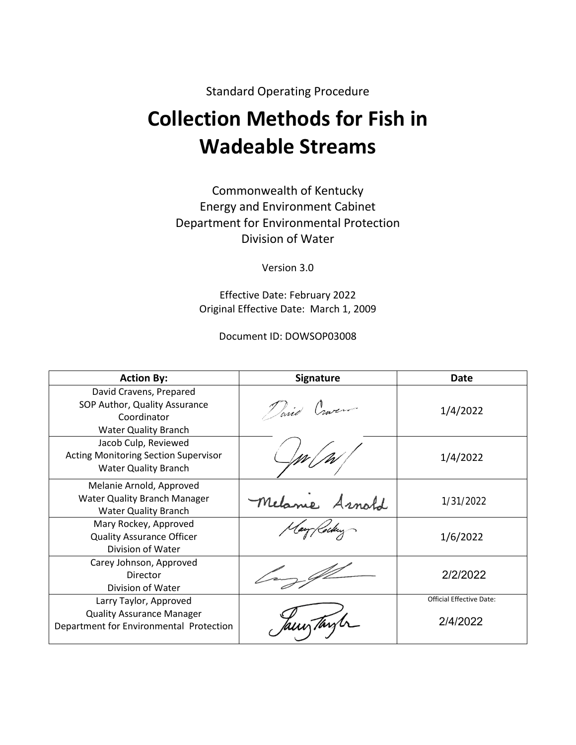Standard Operating Procedure

# **Collection Methods for Fish in Wadeable Streams**

Commonwealth of Kentucky Energy and Environment Cabinet Department for Environmental Protection Division of Water

Version 3.0

Effective Date: February 2022 Original Effective Date: March 1, 2009

Document ID: DOWSOP03008

| <b>Action By:</b>                                                                                      | <b>Signature</b> | Date                            |
|--------------------------------------------------------------------------------------------------------|------------------|---------------------------------|
| David Cravens, Prepared<br>SOP Author, Quality Assurance<br>Coordinator<br><b>Water Quality Branch</b> | Tariel Craven    | 1/4/2022                        |
| Jacob Culp, Reviewed<br><b>Acting Monitoring Section Supervisor</b><br><b>Water Quality Branch</b>     |                  | 1/4/2022                        |
| Melanie Arnold, Approved<br><b>Water Quality Branch Manager</b><br><b>Water Quality Branch</b>         | Melane<br>Arnold | 1/31/2022                       |
| Mary Rockey, Approved<br><b>Quality Assurance Officer</b><br>Division of Water                         |                  | 1/6/2022                        |
| Carey Johnson, Approved<br>Director<br>Division of Water                                               |                  | 2/2/2022                        |
| Larry Taylor, Approved                                                                                 |                  | <b>Official Effective Date:</b> |
| <b>Quality Assurance Manager</b><br>Department for Environmental Protection                            | Jany Tayl        | 2/4/2022                        |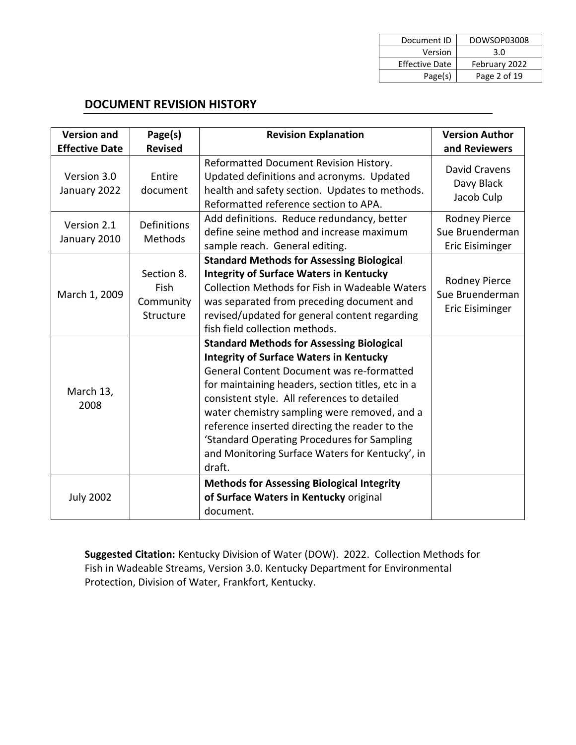| Document ID           | DOWSOP03008   |
|-----------------------|---------------|
| Version               | 3.0           |
| <b>Effective Date</b> | February 2022 |
| Page(s)               | Page 2 of 19  |

## **DOCUMENT REVISION HISTORY**

| <b>Version and</b><br><b>Effective Date</b> | Page(s)<br><b>Revised</b>                    | <b>Revision Explanation</b>                                                                                                                                                                                                                                                                                                                                                                                                                                        | <b>Version Author</b><br>and Reviewers                            |
|---------------------------------------------|----------------------------------------------|--------------------------------------------------------------------------------------------------------------------------------------------------------------------------------------------------------------------------------------------------------------------------------------------------------------------------------------------------------------------------------------------------------------------------------------------------------------------|-------------------------------------------------------------------|
| Version 3.0<br>January 2022                 | Entire<br>document                           | Reformatted Document Revision History.<br>Updated definitions and acronyms. Updated<br>health and safety section. Updates to methods.<br>Reformatted reference section to APA.                                                                                                                                                                                                                                                                                     | David Cravens<br>Davy Black<br>Jacob Culp                         |
| Version 2.1<br>January 2010                 | Definitions<br>Methods                       | Add definitions. Reduce redundancy, better<br>define seine method and increase maximum<br>sample reach. General editing.                                                                                                                                                                                                                                                                                                                                           | Rodney Pierce<br>Sue Bruenderman<br>Eric Eisiminger               |
| March 1, 2009                               | Section 8.<br>Fish<br>Community<br>Structure | <b>Standard Methods for Assessing Biological</b><br><b>Integrity of Surface Waters in Kentucky</b><br><b>Collection Methods for Fish in Wadeable Waters</b><br>was separated from preceding document and<br>revised/updated for general content regarding<br>fish field collection methods.                                                                                                                                                                        | <b>Rodney Pierce</b><br>Sue Bruenderman<br><b>Eric Eisiminger</b> |
| March 13,<br>2008                           |                                              | <b>Standard Methods for Assessing Biological</b><br><b>Integrity of Surface Waters in Kentucky</b><br>General Content Document was re-formatted<br>for maintaining headers, section titles, etc in a<br>consistent style. All references to detailed<br>water chemistry sampling were removed, and a<br>reference inserted directing the reader to the<br>'Standard Operating Procedures for Sampling<br>and Monitoring Surface Waters for Kentucky', in<br>draft. |                                                                   |
| <b>July 2002</b>                            |                                              | <b>Methods for Assessing Biological Integrity</b><br>of Surface Waters in Kentucky original<br>document.                                                                                                                                                                                                                                                                                                                                                           |                                                                   |

**Suggested Citation:** Kentucky Division of Water (DOW). 2022. Collection Methods for Fish in Wadeable Streams, Version 3.0. Kentucky Department for Environmental Protection, Division of Water, Frankfort, Kentucky.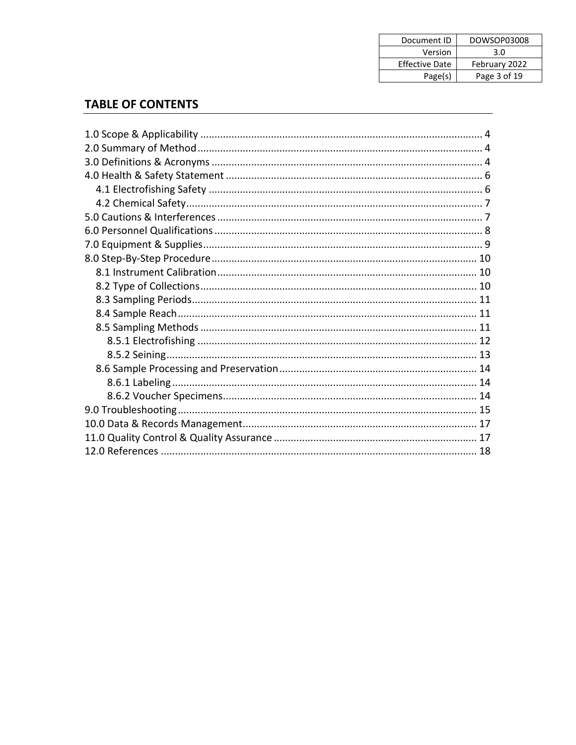| Document ID           | DOWSOP03008   |
|-----------------------|---------------|
| Version               | 3.0           |
| <b>Effective Date</b> | February 2022 |
| Page(s)               | Page 3 of 19  |

## **TABLE OF CONTENTS**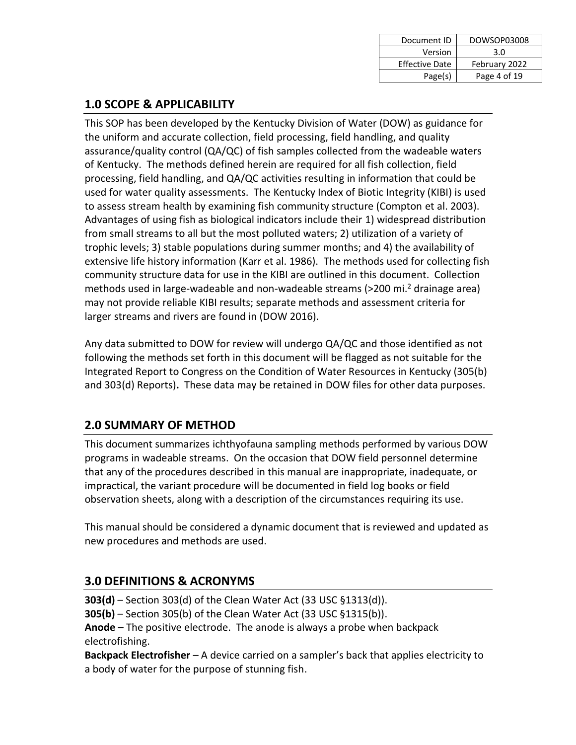| Document ID           | DOWSOP03008   |
|-----------------------|---------------|
| Version               | 3.0           |
| <b>Effective Date</b> | February 2022 |
| Page(s)               | Page 4 of 19  |

## **1.0 SCOPE & APPLICABILITY**

This SOP has been developed by the Kentucky Division of Water (DOW) as guidance for the uniform and accurate collection, field processing, field handling, and quality assurance/quality control (QA/QC) of fish samples collected from the wadeable waters of Kentucky. The methods defined herein are required for all fish collection, field processing, field handling, and QA/QC activities resulting in information that could be used for water quality assessments. The Kentucky Index of Biotic Integrity (KIBI) is used to assess stream health by examining fish community structure (Compton et al. 2003). Advantages of using fish as biological indicators include their 1) widespread distribution from small streams to all but the most polluted waters; 2) utilization of a variety of trophic levels; 3) stable populations during summer months; and 4) the availability of extensive life history information (Karr et al. 1986). The methods used for collecting fish community structure data for use in the KIBI are outlined in this document. Collection methods used in large-wadeable and non-wadeable streams (>200 mi. <sup>2</sup> drainage area) may not provide reliable KIBI results; separate methods and assessment criteria for larger streams and rivers are found in (DOW 2016).

Any data submitted to DOW for review will undergo QA/QC and those identified as not following the methods set forth in this document will be flagged as not suitable for the Integrated Report to Congress on the Condition of Water Resources in Kentucky (305(b) and 303(d) Reports)**.** These data may be retained in DOW files for other data purposes.

## **2.0 SUMMARY OF METHOD**

This document summarizes ichthyofauna sampling methods performed by various DOW programs in wadeable streams. On the occasion that DOW field personnel determine that any of the procedures described in this manual are inappropriate, inadequate, or impractical, the variant procedure will be documented in field log books or field observation sheets, along with a description of the circumstances requiring its use.

This manual should be considered a dynamic document that is reviewed and updated as new procedures and methods are used.

## **3.0 DEFINITIONS & ACRONYMS**

**303(d)** – Section 303(d) of the Clean Water Act (33 USC §1313(d)). **305(b)** – Section 305(b) of the Clean Water Act (33 USC §1315(b)). **Anode** – The positive electrode. The anode is always a probe when backpack electrofishing.

**Backpack Electrofisher** – A device carried on a sampler's back that applies electricity to a body of water for the purpose of stunning fish.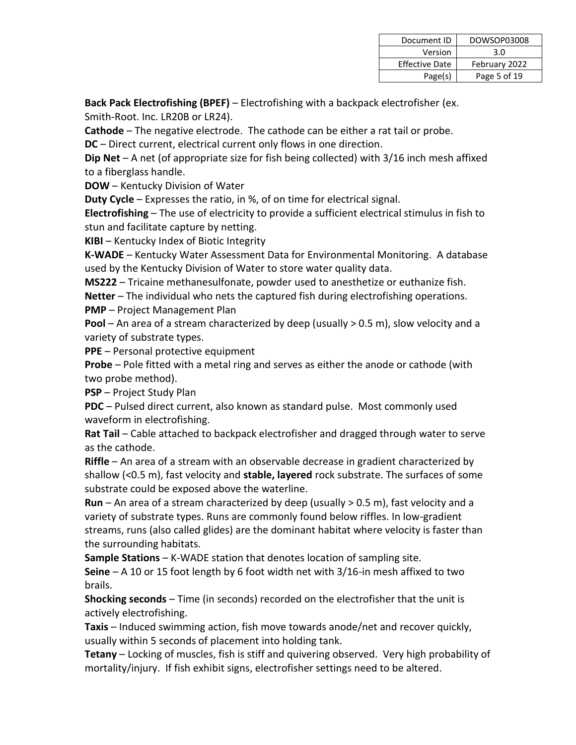| Document ID           | DOWSOP03008   |
|-----------------------|---------------|
| Version               | 3.0           |
| <b>Effective Date</b> | February 2022 |
| Page(s)               | Page 5 of 19  |

**Back Pack Electrofishing (BPEF)** – Electrofishing with a backpack electrofisher (ex. Smith-Root. Inc. LR20B or LR24).

**Cathode** – The negative electrode. The cathode can be either a rat tail or probe.

**DC** – Direct current, electrical current only flows in one direction.

**Dip Net** – A net (of appropriate size for fish being collected) with 3/16 inch mesh affixed to a fiberglass handle.

**DOW** – Kentucky Division of Water

**Duty Cycle** – Expresses the ratio, in %, of on time for electrical signal.

**Electrofishing** – The use of electricity to provide a sufficient electrical stimulus in fish to stun and facilitate capture by netting.

**KIBI** – Kentucky Index of Biotic Integrity

**K-WADE** – Kentucky Water Assessment Data for Environmental Monitoring. A database used by the Kentucky Division of Water to store water quality data.

**MS222** – Tricaine methanesulfonate, powder used to anesthetize or euthanize fish.

**Netter** – The individual who nets the captured fish during electrofishing operations.

**PMP** – Project Management Plan

Pool – An area of a stream characterized by deep (usually > 0.5 m), slow velocity and a variety of substrate types.

**PPE** – Personal protective equipment

**Probe** – Pole fitted with a metal ring and serves as either the anode or cathode (with two probe method).

**PSP** – Project Study Plan

**PDC** – Pulsed direct current, also known as standard pulse. Most commonly used waveform in electrofishing.

**Rat Tail** – Cable attached to backpack electrofisher and dragged through water to serve as the cathode.

**Riffle** – An area of a stream with an observable decrease in gradient characterized by shallow (<0.5 m), fast velocity and **stable, layered** rock substrate. The surfaces of some substrate could be exposed above the waterline.

**Run** – An area of a stream characterized by deep (usually > 0.5 m), fast velocity and a variety of substrate types. Runs are commonly found below riffles. In low-gradient streams, runs (also called glides) are the dominant habitat where velocity is faster than the surrounding habitats.

**Sample Stations** – K-WADE station that denotes location of sampling site.

**Seine** – A 10 or 15 foot length by 6 foot width net with 3/16-in mesh affixed to two brails.

**Shocking seconds** – Time (in seconds) recorded on the electrofisher that the unit is actively electrofishing.

**Taxis** – Induced swimming action, fish move towards anode/net and recover quickly, usually within 5 seconds of placement into holding tank.

**Tetany** – Locking of muscles, fish is stiff and quivering observed. Very high probability of mortality/injury. If fish exhibit signs, electrofisher settings need to be altered.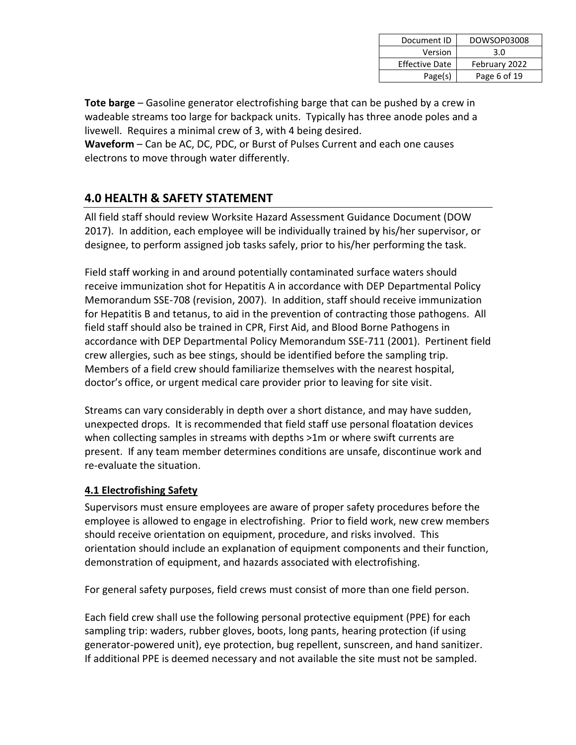| Document ID           | DOWSOP03008   |
|-----------------------|---------------|
| Version               | 3.0           |
| <b>Effective Date</b> | February 2022 |
| Page(s)               | Page 6 of 19  |

**Tote barge** – Gasoline generator electrofishing barge that can be pushed by a crew in wadeable streams too large for backpack units. Typically has three anode poles and a livewell. Requires a minimal crew of 3, with 4 being desired.

**Waveform** – Can be AC, DC, PDC, or Burst of Pulses Current and each one causes electrons to move through water differently.

## **4.0 HEALTH & SAFETY STATEMENT**

All field staff should review Worksite Hazard Assessment Guidance Document (DOW 2017). In addition, each employee will be individually trained by his/her supervisor, or designee, to perform assigned job tasks safely, prior to his/her performing the task.

Field staff working in and around potentially contaminated surface waters should receive immunization shot for Hepatitis A in accordance with DEP Departmental Policy Memorandum SSE-708 (revision, 2007). In addition, staff should receive immunization for Hepatitis B and tetanus, to aid in the prevention of contracting those pathogens. All field staff should also be trained in CPR, First Aid, and Blood Borne Pathogens in accordance with DEP Departmental Policy Memorandum SSE-711 (2001). Pertinent field crew allergies, such as bee stings, should be identified before the sampling trip. Members of a field crew should familiarize themselves with the nearest hospital, doctor's office, or urgent medical care provider prior to leaving for site visit.

Streams can vary considerably in depth over a short distance, and may have sudden, unexpected drops. It is recommended that field staff use personal floatation devices when collecting samples in streams with depths >1m or where swift currents are present. If any team member determines conditions are unsafe, discontinue work and re-evaluate the situation.

#### **4.1 Electrofishing Safety**

Supervisors must ensure employees are aware of proper safety procedures before the employee is allowed to engage in electrofishing. Prior to field work, new crew members should receive orientation on equipment, procedure, and risks involved. This orientation should include an explanation of equipment components and their function, demonstration of equipment, and hazards associated with electrofishing.

For general safety purposes, field crews must consist of more than one field person.

Each field crew shall use the following personal protective equipment (PPE) for each sampling trip: waders, rubber gloves, boots, long pants, hearing protection (if using generator-powered unit), eye protection, bug repellent, sunscreen, and hand sanitizer. If additional PPE is deemed necessary and not available the site must not be sampled.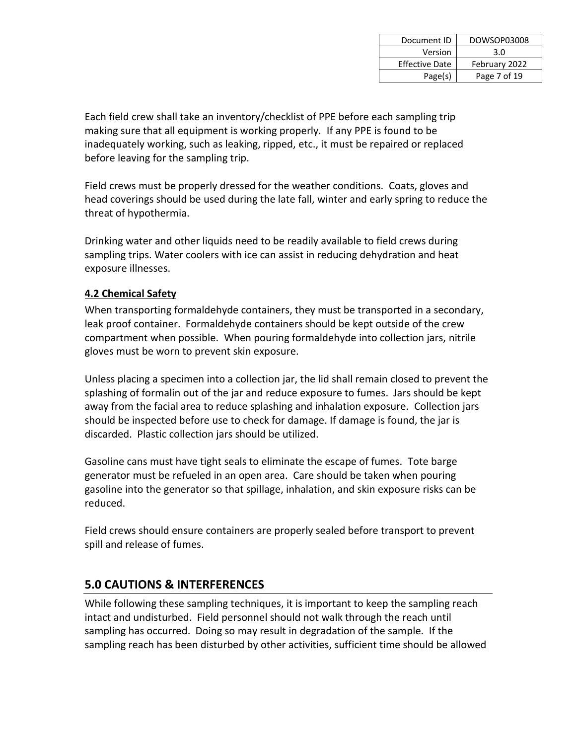| Document ID           | DOWSOP03008   |
|-----------------------|---------------|
| Version               | 3.0           |
| <b>Effective Date</b> | February 2022 |
| Page(s)               | Page 7 of 19  |

Each field crew shall take an inventory/checklist of PPE before each sampling trip making sure that all equipment is working properly. If any PPE is found to be inadequately working, such as leaking, ripped, etc., it must be repaired or replaced before leaving for the sampling trip.

Field crews must be properly dressed for the weather conditions. Coats, gloves and head coverings should be used during the late fall, winter and early spring to reduce the threat of hypothermia.

Drinking water and other liquids need to be readily available to field crews during sampling trips. Water coolers with ice can assist in reducing dehydration and heat exposure illnesses.

#### **4.2 Chemical Safety**

When transporting formaldehyde containers, they must be transported in a secondary, leak proof container. Formaldehyde containers should be kept outside of the crew compartment when possible. When pouring formaldehyde into collection jars, nitrile gloves must be worn to prevent skin exposure.

Unless placing a specimen into a collection jar, the lid shall remain closed to prevent the splashing of formalin out of the jar and reduce exposure to fumes. Jars should be kept away from the facial area to reduce splashing and inhalation exposure. Collection jars should be inspected before use to check for damage. If damage is found, the jar is discarded. Plastic collection jars should be utilized.

Gasoline cans must have tight seals to eliminate the escape of fumes. Tote barge generator must be refueled in an open area. Care should be taken when pouring gasoline into the generator so that spillage, inhalation, and skin exposure risks can be reduced.

Field crews should ensure containers are properly sealed before transport to prevent spill and release of fumes.

## **5.0 CAUTIONS & INTERFERENCES**

While following these sampling techniques, it is important to keep the sampling reach intact and undisturbed. Field personnel should not walk through the reach until sampling has occurred. Doing so may result in degradation of the sample. If the sampling reach has been disturbed by other activities, sufficient time should be allowed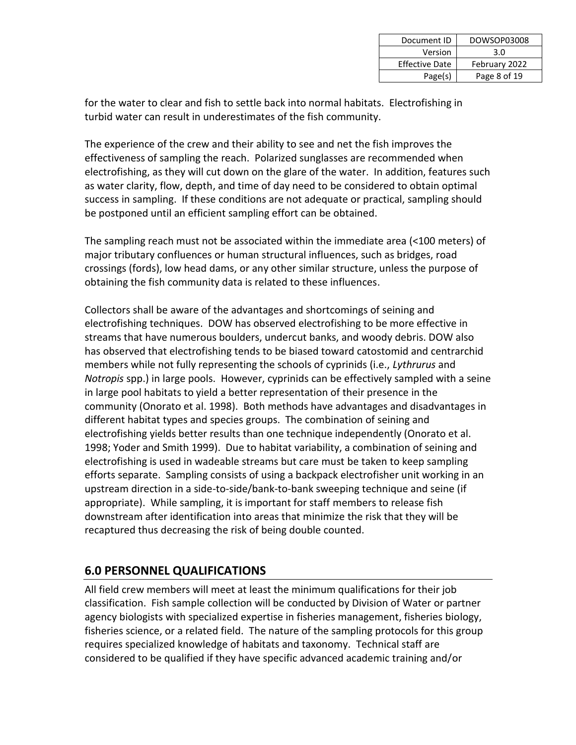| Document ID           | DOWSOP03008   |
|-----------------------|---------------|
| Version               | 3.0           |
| <b>Effective Date</b> | February 2022 |
| Page(s)               | Page 8 of 19  |

for the water to clear and fish to settle back into normal habitats. Electrofishing in turbid water can result in underestimates of the fish community.

The experience of the crew and their ability to see and net the fish improves the effectiveness of sampling the reach. Polarized sunglasses are recommended when electrofishing, as they will cut down on the glare of the water. In addition, features such as water clarity, flow, depth, and time of day need to be considered to obtain optimal success in sampling. If these conditions are not adequate or practical, sampling should be postponed until an efficient sampling effort can be obtained.

The sampling reach must not be associated within the immediate area (<100 meters) of major tributary confluences or human structural influences, such as bridges, road crossings (fords), low head dams, or any other similar structure, unless the purpose of obtaining the fish community data is related to these influences.

Collectors shall be aware of the advantages and shortcomings of seining and electrofishing techniques. DOW has observed electrofishing to be more effective in streams that have numerous boulders, undercut banks, and woody debris. DOW also has observed that electrofishing tends to be biased toward catostomid and centrarchid members while not fully representing the schools of cyprinids (i.e., *Lythrurus* and *Notropis* spp.) in large pools. However, cyprinids can be effectively sampled with a seine in large pool habitats to yield a better representation of their presence in the community (Onorato et al. 1998). Both methods have advantages and disadvantages in different habitat types and species groups. The combination of seining and electrofishing yields better results than one technique independently (Onorato et al. 1998; Yoder and Smith 1999). Due to habitat variability, a combination of seining and electrofishing is used in wadeable streams but care must be taken to keep sampling efforts separate. Sampling consists of using a backpack electrofisher unit working in an upstream direction in a side-to-side/bank-to-bank sweeping technique and seine (if appropriate). While sampling, it is important for staff members to release fish downstream after identification into areas that minimize the risk that they will be recaptured thus decreasing the risk of being double counted.

## **6.0 PERSONNEL QUALIFICATIONS**

All field crew members will meet at least the minimum qualifications for their job classification. Fish sample collection will be conducted by Division of Water or partner agency biologists with specialized expertise in fisheries management, fisheries biology, fisheries science, or a related field. The nature of the sampling protocols for this group requires specialized knowledge of habitats and taxonomy. Technical staff are considered to be qualified if they have specific advanced academic training and/or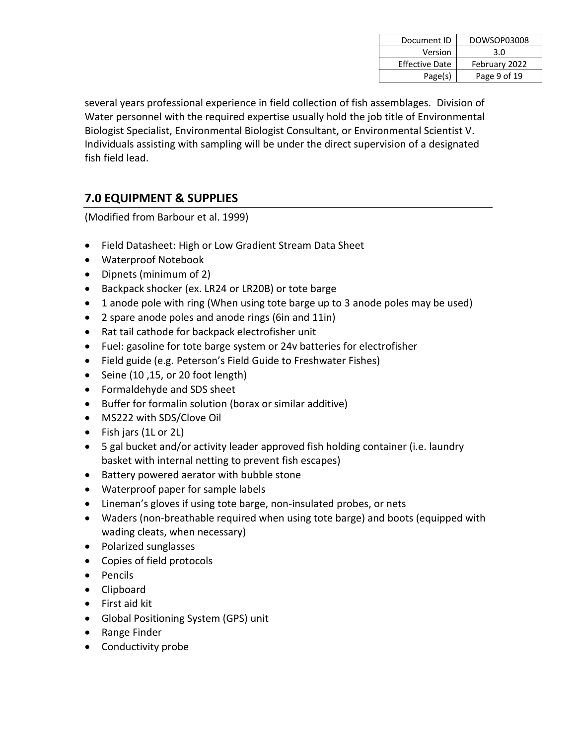| Document ID           | DOWSOP03008   |
|-----------------------|---------------|
| Version               | 3.0           |
| <b>Effective Date</b> | February 2022 |
| Page(s)               | Page 9 of 19  |

several years professional experience in field collection of fish assemblages. Division of Water personnel with the required expertise usually hold the job title of Environmental Biologist Specialist, Environmental Biologist Consultant, or Environmental Scientist V. Individuals assisting with sampling will be under the direct supervision of a designated fish field lead.

## **7.0 EQUIPMENT & SUPPLIES**

(Modified from Barbour et al. 1999)

- Field Datasheet: High or Low Gradient Stream Data Sheet
- Waterproof Notebook
- Dipnets (minimum of 2)
- Backpack shocker (ex. LR24 or LR20B) or tote barge
- 1 anode pole with ring (When using tote barge up to 3 anode poles may be used)
- 2 spare anode poles and anode rings (6in and 11in)
- Rat tail cathode for backpack electrofisher unit
- Fuel: gasoline for tote barge system or 24v batteries for electrofisher
- Field guide (e.g. Peterson's Field Guide to Freshwater Fishes)
- Seine  $(10, 15, or 20$  foot length)
- Formaldehyde and SDS sheet
- Buffer for formalin solution (borax or similar additive)
- MS222 with SDS/Clove Oil
- Fish jars (1L or 2L)
- 5 gal bucket and/or activity leader approved fish holding container (i.e. laundry basket with internal netting to prevent fish escapes)
- Battery powered aerator with bubble stone
- Waterproof paper for sample labels
- Lineman's gloves if using tote barge, non-insulated probes, or nets
- Waders (non-breathable required when using tote barge) and boots (equipped with wading cleats, when necessary)
- Polarized sunglasses
- Copies of field protocols
- Pencils
- Clipboard
- First aid kit
- Global Positioning System (GPS) unit
- Range Finder
- Conductivity probe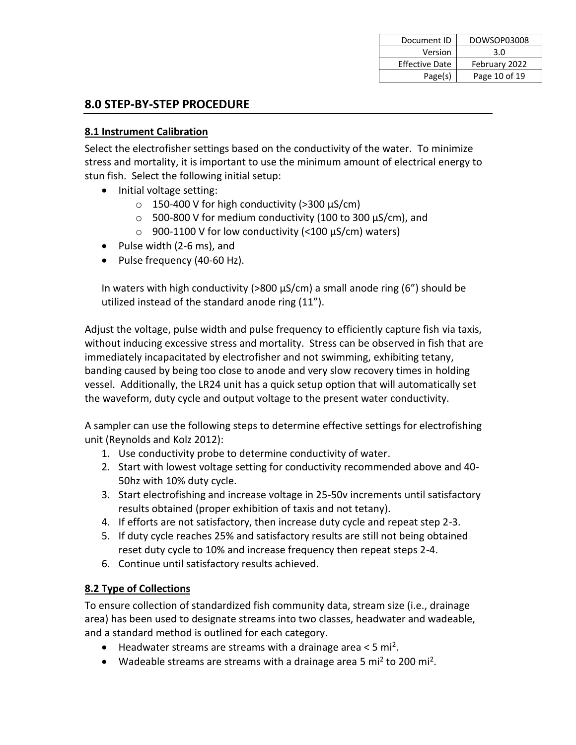| Document ID           | DOWSOP03008   |
|-----------------------|---------------|
| Version               | 3.0           |
| <b>Effective Date</b> | February 2022 |
| Page(s)               | Page 10 of 19 |

## **8.0 STEP-BY-STEP PROCEDURE**

#### **8.1 Instrument Calibration**

Select the electrofisher settings based on the conductivity of the water. To minimize stress and mortality, it is important to use the minimum amount of electrical energy to stun fish. Select the following initial setup:

- Initial voltage setting:
	- $\circ$  150-400 V for high conductivity (>300  $\mu$ S/cm)
	- $\circ$  500-800 V for medium conductivity (100 to 300  $\mu$ S/cm), and
	- $\circ$  900-1100 V for low conductivity (<100  $\mu$ S/cm) waters)
- Pulse width (2-6 ms), and
- Pulse frequency (40-60 Hz).

In waters with high conductivity ( $>800 \mu s/cm$ ) a small anode ring (6") should be utilized instead of the standard anode ring (11").

Adjust the voltage, pulse width and pulse frequency to efficiently capture fish via taxis, without inducing excessive stress and mortality. Stress can be observed in fish that are immediately incapacitated by electrofisher and not swimming, exhibiting tetany, banding caused by being too close to anode and very slow recovery times in holding vessel. Additionally, the LR24 unit has a quick setup option that will automatically set the waveform, duty cycle and output voltage to the present water conductivity.

A sampler can use the following steps to determine effective settings for electrofishing unit (Reynolds and Kolz 2012):

- 1. Use conductivity probe to determine conductivity of water.
- 2. Start with lowest voltage setting for conductivity recommended above and 40- 50hz with 10% duty cycle.
- 3. Start electrofishing and increase voltage in 25-50v increments until satisfactory results obtained (proper exhibition of taxis and not tetany).
- 4. If efforts are not satisfactory, then increase duty cycle and repeat step 2-3.
- 5. If duty cycle reaches 25% and satisfactory results are still not being obtained reset duty cycle to 10% and increase frequency then repeat steps 2-4.
- 6. Continue until satisfactory results achieved.

#### **8.2 Type of Collections**

To ensure collection of standardized fish community data, stream size (i.e., drainage area) has been used to designate streams into two classes, headwater and wadeable, and a standard method is outlined for each category.

- $\bullet$  Headwater streams are streams with a drainage area < 5 mi<sup>2</sup>.
- Wadeable streams are streams with a drainage area 5 mi<sup>2</sup> to 200 mi<sup>2</sup>.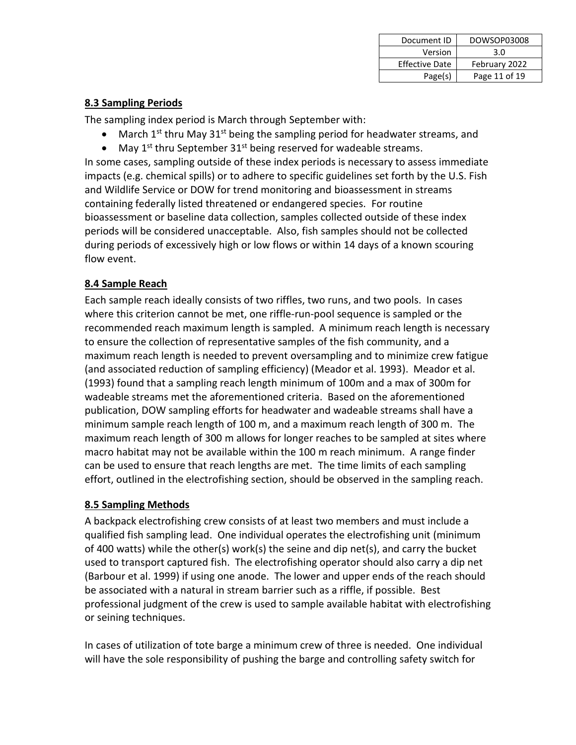| Document ID           | DOWSOP03008   |
|-----------------------|---------------|
| Version               | 3.0           |
| <b>Effective Date</b> | February 2022 |
| Page(s)               | Page 11 of 19 |

#### **8.3 Sampling Periods**

The sampling index period is March through September with:

- $\bullet$  March 1<sup>st</sup> thru May 31<sup>st</sup> being the sampling period for headwater streams, and
- May  $1^{st}$  thru September 31<sup>st</sup> being reserved for wadeable streams.

In some cases, sampling outside of these index periods is necessary to assess immediate impacts (e.g. chemical spills) or to adhere to specific guidelines set forth by the U.S. Fish and Wildlife Service or DOW for trend monitoring and bioassessment in streams containing federally listed threatened or endangered species. For routine bioassessment or baseline data collection, samples collected outside of these index periods will be considered unacceptable. Also, fish samples should not be collected during periods of excessively high or low flows or within 14 days of a known scouring flow event.

## **8.4 Sample Reach**

Each sample reach ideally consists of two riffles, two runs, and two pools. In cases where this criterion cannot be met, one riffle-run-pool sequence is sampled or the recommended reach maximum length is sampled. A minimum reach length is necessary to ensure the collection of representative samples of the fish community, and a maximum reach length is needed to prevent oversampling and to minimize crew fatigue (and associated reduction of sampling efficiency) (Meador et al. 1993). Meador et al. (1993) found that a sampling reach length minimum of 100m and a max of 300m for wadeable streams met the aforementioned criteria. Based on the aforementioned publication, DOW sampling efforts for headwater and wadeable streams shall have a minimum sample reach length of 100 m, and a maximum reach length of 300 m. The maximum reach length of 300 m allows for longer reaches to be sampled at sites where macro habitat may not be available within the 100 m reach minimum. A range finder can be used to ensure that reach lengths are met. The time limits of each sampling effort, outlined in the electrofishing section, should be observed in the sampling reach.

#### **8.5 Sampling Methods**

A backpack electrofishing crew consists of at least two members and must include a qualified fish sampling lead. One individual operates the electrofishing unit (minimum of 400 watts) while the other(s) work(s) the seine and dip net(s), and carry the bucket used to transport captured fish. The electrofishing operator should also carry a dip net (Barbour et al. 1999) if using one anode. The lower and upper ends of the reach should be associated with a natural in stream barrier such as a riffle, if possible. Best professional judgment of the crew is used to sample available habitat with electrofishing or seining techniques.

In cases of utilization of tote barge a minimum crew of three is needed. One individual will have the sole responsibility of pushing the barge and controlling safety switch for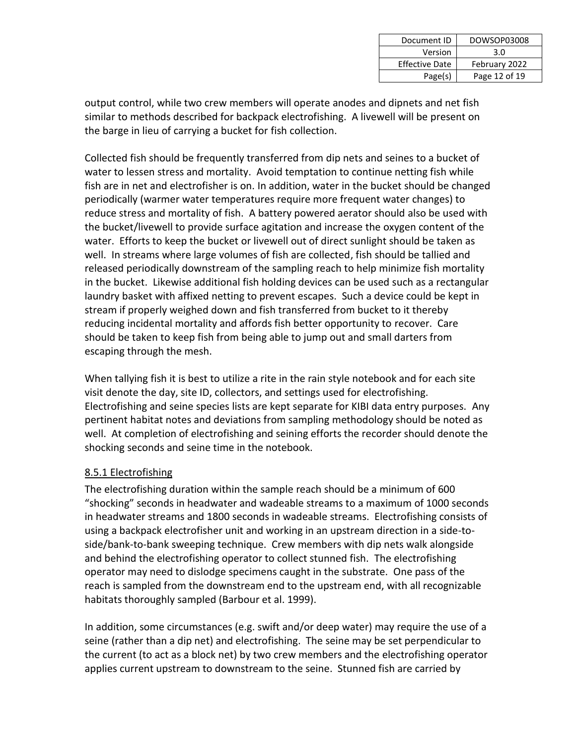| Document ID           | DOWSOP03008   |
|-----------------------|---------------|
| Version               | 3.0           |
| <b>Effective Date</b> | February 2022 |
| Page(s)               | Page 12 of 19 |

output control, while two crew members will operate anodes and dipnets and net fish similar to methods described for backpack electrofishing. A livewell will be present on the barge in lieu of carrying a bucket for fish collection.

Collected fish should be frequently transferred from dip nets and seines to a bucket of water to lessen stress and mortality. Avoid temptation to continue netting fish while fish are in net and electrofisher is on. In addition, water in the bucket should be changed periodically (warmer water temperatures require more frequent water changes) to reduce stress and mortality of fish. A battery powered aerator should also be used with the bucket/livewell to provide surface agitation and increase the oxygen content of the water. Efforts to keep the bucket or livewell out of direct sunlight should be taken as well. In streams where large volumes of fish are collected, fish should be tallied and released periodically downstream of the sampling reach to help minimize fish mortality in the bucket. Likewise additional fish holding devices can be used such as a rectangular laundry basket with affixed netting to prevent escapes. Such a device could be kept in stream if properly weighed down and fish transferred from bucket to it thereby reducing incidental mortality and affords fish better opportunity to recover. Care should be taken to keep fish from being able to jump out and small darters from escaping through the mesh.

When tallying fish it is best to utilize a rite in the rain style notebook and for each site visit denote the day, site ID, collectors, and settings used for electrofishing. Electrofishing and seine species lists are kept separate for KIBI data entry purposes. Any pertinent habitat notes and deviations from sampling methodology should be noted as well. At completion of electrofishing and seining efforts the recorder should denote the shocking seconds and seine time in the notebook.

#### 8.5.1 Electrofishing

The electrofishing duration within the sample reach should be a minimum of 600 "shocking" seconds in headwater and wadeable streams to a maximum of 1000 seconds in headwater streams and 1800 seconds in wadeable streams. Electrofishing consists of using a backpack electrofisher unit and working in an upstream direction in a side-toside/bank-to-bank sweeping technique. Crew members with dip nets walk alongside and behind the electrofishing operator to collect stunned fish. The electrofishing operator may need to dislodge specimens caught in the substrate. One pass of the reach is sampled from the downstream end to the upstream end, with all recognizable habitats thoroughly sampled (Barbour et al. 1999).

In addition, some circumstances (e.g. swift and/or deep water) may require the use of a seine (rather than a dip net) and electrofishing. The seine may be set perpendicular to the current (to act as a block net) by two crew members and the electrofishing operator applies current upstream to downstream to the seine. Stunned fish are carried by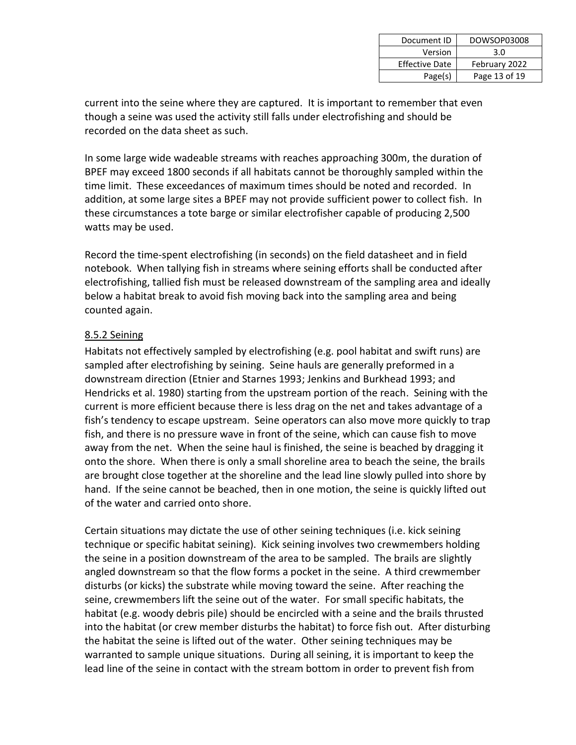| Document ID           | DOWSOP03008   |
|-----------------------|---------------|
| Version               | 3.0           |
| <b>Effective Date</b> | February 2022 |
| Page(s)               | Page 13 of 19 |

current into the seine where they are captured. It is important to remember that even though a seine was used the activity still falls under electrofishing and should be recorded on the data sheet as such.

In some large wide wadeable streams with reaches approaching 300m, the duration of BPEF may exceed 1800 seconds if all habitats cannot be thoroughly sampled within the time limit. These exceedances of maximum times should be noted and recorded. In addition, at some large sites a BPEF may not provide sufficient power to collect fish. In these circumstances a tote barge or similar electrofisher capable of producing 2,500 watts may be used.

Record the time-spent electrofishing (in seconds) on the field datasheet and in field notebook. When tallying fish in streams where seining efforts shall be conducted after electrofishing, tallied fish must be released downstream of the sampling area and ideally below a habitat break to avoid fish moving back into the sampling area and being counted again.

#### 8.5.2 Seining

Habitats not effectively sampled by electrofishing (e.g. pool habitat and swift runs) are sampled after electrofishing by seining. Seine hauls are generally preformed in a downstream direction (Etnier and Starnes 1993; Jenkins and Burkhead 1993; and Hendricks et al. 1980) starting from the upstream portion of the reach. Seining with the current is more efficient because there is less drag on the net and takes advantage of a fish's tendency to escape upstream. Seine operators can also move more quickly to trap fish, and there is no pressure wave in front of the seine, which can cause fish to move away from the net. When the seine haul is finished, the seine is beached by dragging it onto the shore. When there is only a small shoreline area to beach the seine, the brails are brought close together at the shoreline and the lead line slowly pulled into shore by hand. If the seine cannot be beached, then in one motion, the seine is quickly lifted out of the water and carried onto shore.

Certain situations may dictate the use of other seining techniques (i.e. kick seining technique or specific habitat seining). Kick seining involves two crewmembers holding the seine in a position downstream of the area to be sampled. The brails are slightly angled downstream so that the flow forms a pocket in the seine. A third crewmember disturbs (or kicks) the substrate while moving toward the seine. After reaching the seine, crewmembers lift the seine out of the water. For small specific habitats, the habitat (e.g. woody debris pile) should be encircled with a seine and the brails thrusted into the habitat (or crew member disturbs the habitat) to force fish out. After disturbing the habitat the seine is lifted out of the water. Other seining techniques may be warranted to sample unique situations. During all seining, it is important to keep the lead line of the seine in contact with the stream bottom in order to prevent fish from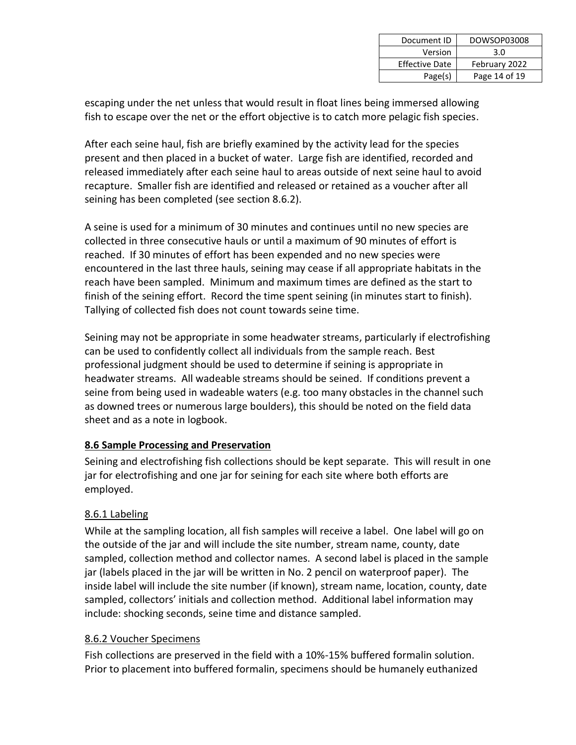| Document ID           | DOWSOP03008   |
|-----------------------|---------------|
| Version               | 3.0           |
| <b>Effective Date</b> | February 2022 |
| Page(s)               | Page 14 of 19 |

escaping under the net unless that would result in float lines being immersed allowing fish to escape over the net or the effort objective is to catch more pelagic fish species.

After each seine haul, fish are briefly examined by the activity lead for the species present and then placed in a bucket of water. Large fish are identified, recorded and released immediately after each seine haul to areas outside of next seine haul to avoid recapture. Smaller fish are identified and released or retained as a voucher after all seining has been completed (see section 8.6.2).

A seine is used for a minimum of 30 minutes and continues until no new species are collected in three consecutive hauls or until a maximum of 90 minutes of effort is reached. If 30 minutes of effort has been expended and no new species were encountered in the last three hauls, seining may cease if all appropriate habitats in the reach have been sampled. Minimum and maximum times are defined as the start to finish of the seining effort. Record the time spent seining (in minutes start to finish). Tallying of collected fish does not count towards seine time.

Seining may not be appropriate in some headwater streams, particularly if electrofishing can be used to confidently collect all individuals from the sample reach. Best professional judgment should be used to determine if seining is appropriate in headwater streams. All wadeable streams should be seined. If conditions prevent a seine from being used in wadeable waters (e.g. too many obstacles in the channel such as downed trees or numerous large boulders), this should be noted on the field data sheet and as a note in logbook.

#### **8.6 Sample Processing and Preservation**

Seining and electrofishing fish collections should be kept separate. This will result in one jar for electrofishing and one jar for seining for each site where both efforts are employed.

#### 8.6.1 Labeling

While at the sampling location, all fish samples will receive a label. One label will go on the outside of the jar and will include the site number, stream name, county, date sampled, collection method and collector names. A second label is placed in the sample jar (labels placed in the jar will be written in No. 2 pencil on waterproof paper). The inside label will include the site number (if known), stream name, location, county, date sampled, collectors' initials and collection method. Additional label information may include: shocking seconds, seine time and distance sampled.

#### 8.6.2 Voucher Specimens

Fish collections are preserved in the field with a 10%-15% buffered formalin solution. Prior to placement into buffered formalin, specimens should be humanely euthanized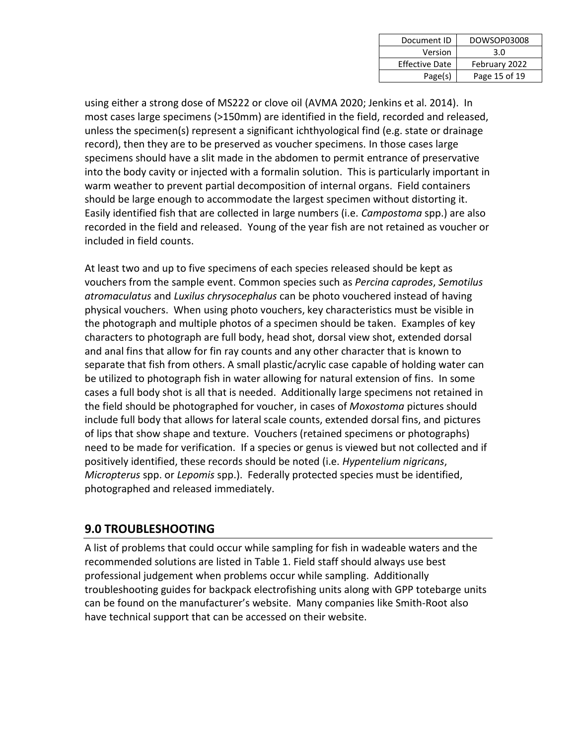| Document ID           | DOWSOP03008   |
|-----------------------|---------------|
| Version               | 3.0           |
| <b>Effective Date</b> | February 2022 |
| Page(s)               | Page 15 of 19 |

using either a strong dose of MS222 or clove oil (AVMA 2020; Jenkins et al. 2014). In most cases large specimens (>150mm) are identified in the field, recorded and released, unless the specimen(s) represent a significant ichthyological find (e.g. state or drainage record), then they are to be preserved as voucher specimens. In those cases large specimens should have a slit made in the abdomen to permit entrance of preservative into the body cavity or injected with a formalin solution. This is particularly important in warm weather to prevent partial decomposition of internal organs. Field containers should be large enough to accommodate the largest specimen without distorting it. Easily identified fish that are collected in large numbers (i.e. *Campostoma* spp.) are also recorded in the field and released. Young of the year fish are not retained as voucher or included in field counts.

At least two and up to five specimens of each species released should be kept as vouchers from the sample event. Common species such as *Percina caprodes*, *Semotilus atromaculatus* and *Luxilus chrysocephalus* can be photo vouchered instead of having physical vouchers. When using photo vouchers, key characteristics must be visible in the photograph and multiple photos of a specimen should be taken. Examples of key characters to photograph are full body, head shot, dorsal view shot, extended dorsal and anal fins that allow for fin ray counts and any other character that is known to separate that fish from others. A small plastic/acrylic case capable of holding water can be utilized to photograph fish in water allowing for natural extension of fins. In some cases a full body shot is all that is needed. Additionally large specimens not retained in the field should be photographed for voucher, in cases of *Moxostoma* pictures should include full body that allows for lateral scale counts, extended dorsal fins, and pictures of lips that show shape and texture. Vouchers (retained specimens or photographs) need to be made for verification. If a species or genus is viewed but not collected and if positively identified, these records should be noted (i.e. *Hypentelium nigricans*, *Micropterus* spp. or *Lepomis* spp.). Federally protected species must be identified, photographed and released immediately.

## **9.0 TROUBLESHOOTING**

A list of problems that could occur while sampling for fish in wadeable waters and the recommended solutions are listed in Table 1. Field staff should always use best professional judgement when problems occur while sampling. Additionally troubleshooting guides for backpack electrofishing units along with GPP totebarge units can be found on the manufacturer's website. Many companies like Smith-Root also have technical support that can be accessed on their website.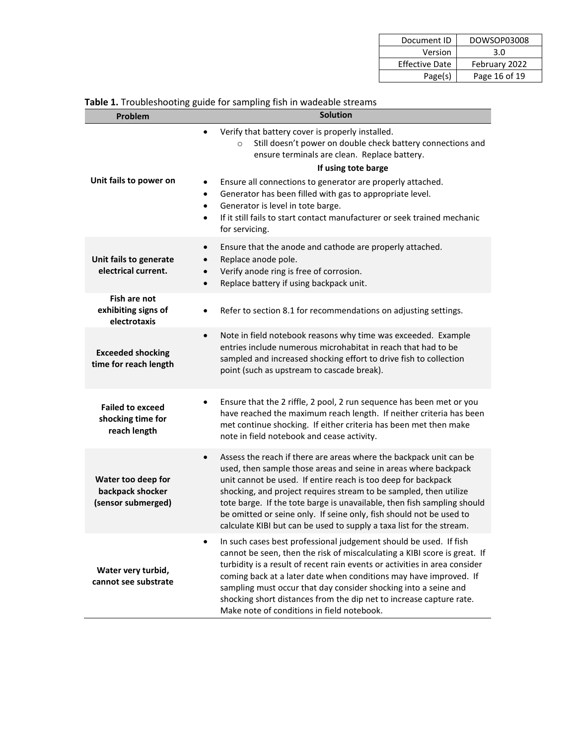| Document ID           | DOWSOP03008   |
|-----------------------|---------------|
| Version               | 3.0           |
| <b>Effective Date</b> | February 2022 |
| Page(s)               | Page 16 of 19 |

| Problem                                                      | <b>Solution</b>                                                                                                                                                                                                                                                                                                                                                                                                                                                                                                    |
|--------------------------------------------------------------|--------------------------------------------------------------------------------------------------------------------------------------------------------------------------------------------------------------------------------------------------------------------------------------------------------------------------------------------------------------------------------------------------------------------------------------------------------------------------------------------------------------------|
| Unit fails to power on                                       | Verify that battery cover is properly installed.<br>Still doesn't power on double check battery connections and<br>$\circ$<br>ensure terminals are clean. Replace battery.<br>If using tote barge<br>Ensure all connections to generator are properly attached.<br>Generator has been filled with gas to appropriate level.<br>٠<br>Generator is level in tote barge.<br>$\bullet$                                                                                                                                 |
|                                                              | If it still fails to start contact manufacturer or seek trained mechanic<br>for servicing.                                                                                                                                                                                                                                                                                                                                                                                                                         |
| Unit fails to generate<br>electrical current.                | Ensure that the anode and cathode are properly attached.<br>$\bullet$<br>Replace anode pole.<br>$\bullet$<br>Verify anode ring is free of corrosion.<br>$\bullet$<br>Replace battery if using backpack unit.<br>$\bullet$                                                                                                                                                                                                                                                                                          |
| <b>Fish are not</b><br>exhibiting signs of<br>electrotaxis   | Refer to section 8.1 for recommendations on adjusting settings.                                                                                                                                                                                                                                                                                                                                                                                                                                                    |
| <b>Exceeded shocking</b><br>time for reach length            | Note in field notebook reasons why time was exceeded. Example<br>$\bullet$<br>entries include numerous microhabitat in reach that had to be<br>sampled and increased shocking effort to drive fish to collection<br>point (such as upstream to cascade break).                                                                                                                                                                                                                                                     |
| <b>Failed to exceed</b><br>shocking time for<br>reach length | Ensure that the 2 riffle, 2 pool, 2 run sequence has been met or you<br>have reached the maximum reach length. If neither criteria has been<br>met continue shocking. If either criteria has been met then make<br>note in field notebook and cease activity.                                                                                                                                                                                                                                                      |
| Water too deep for<br>backpack shocker<br>(sensor submerged) | Assess the reach if there are areas where the backpack unit can be<br>$\bullet$<br>used, then sample those areas and seine in areas where backpack<br>unit cannot be used. If entire reach is too deep for backpack<br>shocking, and project requires stream to be sampled, then utilize<br>tote barge. If the tote barge is unavailable, then fish sampling should<br>be omitted or seine only. If seine only, fish should not be used to<br>calculate KIBI but can be used to supply a taxa list for the stream. |
| Water very turbid,<br>cannot see substrate                   | In such cases best professional judgement should be used. If fish<br>cannot be seen, then the risk of miscalculating a KIBI score is great. If<br>turbidity is a result of recent rain events or activities in area consider<br>coming back at a later date when conditions may have improved. If<br>sampling must occur that day consider shocking into a seine and<br>shocking short distances from the dip net to increase capture rate.<br>Make note of conditions in field notebook.                          |

#### **Table 1.** Troubleshooting guide for sampling fish in wadeable streams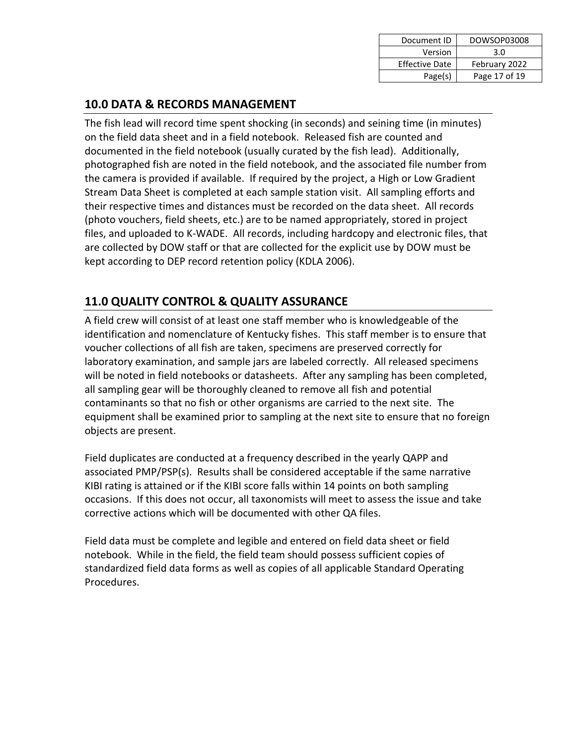| Document ID           | DOWSOP03008   |
|-----------------------|---------------|
| Version               | 3.0           |
| <b>Effective Date</b> | February 2022 |
| Page(s)               | Page 17 of 19 |

## **10.0 DATA & RECORDS MANAGEMENT**

The fish lead will record time spent shocking (in seconds) and seining time (in minutes) on the field data sheet and in a field notebook. Released fish are counted and documented in the field notebook (usually curated by the fish lead). Additionally, photographed fish are noted in the field notebook, and the associated file number from the camera is provided if available. If required by the project, a High or Low Gradient Stream Data Sheet is completed at each sample station visit. All sampling efforts and their respective times and distances must be recorded on the data sheet. All records (photo vouchers, field sheets, etc.) are to be named appropriately, stored in project files, and uploaded to K-WADE. All records, including hardcopy and electronic files, that are collected by DOW staff or that are collected for the explicit use by DOW must be kept according to DEP record retention policy (KDLA 2006).

## **11.0 QUALITY CONTROL & QUALITY ASSURANCE**

A field crew will consist of at least one staff member who is knowledgeable of the identification and nomenclature of Kentucky fishes. This staff member is to ensure that voucher collections of all fish are taken, specimens are preserved correctly for laboratory examination, and sample jars are labeled correctly. All released specimens will be noted in field notebooks or datasheets. After any sampling has been completed, all sampling gear will be thoroughly cleaned to remove all fish and potential contaminants so that no fish or other organisms are carried to the next site. The equipment shall be examined prior to sampling at the next site to ensure that no foreign objects are present.

Field duplicates are conducted at a frequency described in the yearly QAPP and associated PMP/PSP(s). Results shall be considered acceptable if the same narrative KIBI rating is attained or if the KIBI score falls within 14 points on both sampling occasions. If this does not occur, all taxonomists will meet to assess the issue and take corrective actions which will be documented with other QA files.

Field data must be complete and legible and entered on field data sheet or field notebook. While in the field, the field team should possess sufficient copies of standardized field data forms as well as copies of all applicable Standard Operating Procedures.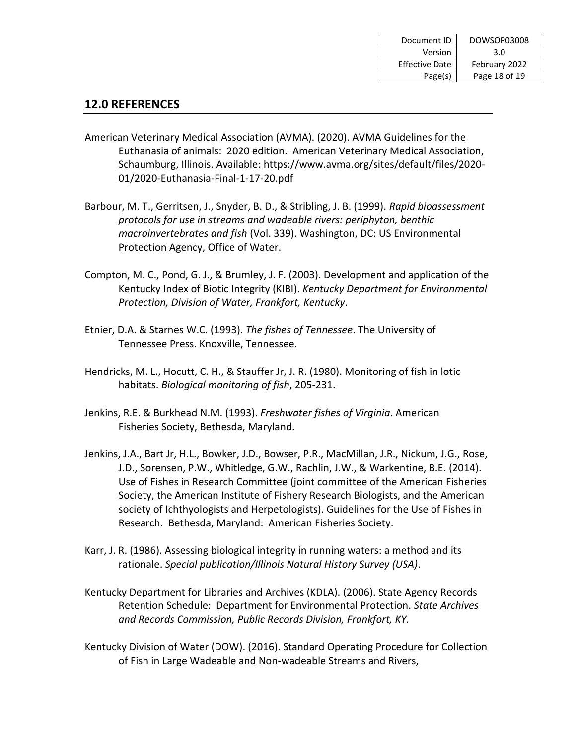| Document ID           | DOWSOP03008   |
|-----------------------|---------------|
| Version               | 3.0           |
| <b>Effective Date</b> | February 2022 |
| Page(s)               | Page 18 of 19 |

#### **12.0 REFERENCES**

- American Veterinary Medical Association (AVMA). (2020). AVMA Guidelines for the Euthanasia of animals: 2020 edition. American Veterinary Medical Association, Schaumburg, Illinois. Available: https://www.avma.org/sites/default/files/2020- 01/2020-Euthanasia-Final-1-17-20.pdf
- Barbour, M. T., Gerritsen, J., Snyder, B. D., & Stribling, J. B. (1999). *Rapid bioassessment protocols for use in streams and wadeable rivers: periphyton, benthic macroinvertebrates and fish* (Vol. 339). Washington, DC: US Environmental Protection Agency, Office of Water.
- Compton, M. C., Pond, G. J., & Brumley, J. F. (2003). Development and application of the Kentucky Index of Biotic Integrity (KIBI). *Kentucky Department for Environmental Protection, Division of Water, Frankfort, Kentucky*.
- Etnier, D.A. & Starnes W.C. (1993). *The fishes of Tennessee*. The University of Tennessee Press. Knoxville, Tennessee.
- Hendricks, M. L., Hocutt, C. H., & Stauffer Jr, J. R. (1980). Monitoring of fish in lotic habitats. *Biological monitoring of fish*, 205-231.
- Jenkins, R.E. & Burkhead N.M. (1993). *Freshwater fishes of Virginia*. American Fisheries Society, Bethesda, Maryland.
- Jenkins, J.A., Bart Jr, H.L., Bowker, J.D., Bowser, P.R., MacMillan, J.R., Nickum, J.G., Rose, J.D., Sorensen, P.W., Whitledge, G.W., Rachlin, J.W., & Warkentine, B.E. (2014). Use of Fishes in Research Committee (joint committee of the American Fisheries Society, the American Institute of Fishery Research Biologists, and the American society of Ichthyologists and Herpetologists). Guidelines for the Use of Fishes in Research. Bethesda, Maryland: American Fisheries Society.
- Karr, J. R. (1986). Assessing biological integrity in running waters: a method and its rationale. *Special publication/Illinois Natural History Survey (USA)*.
- Kentucky Department for Libraries and Archives (KDLA). (2006). State Agency Records Retention Schedule: Department for Environmental Protection. *State Archives and Records Commission, Public Records Division, Frankfort, KY.*
- Kentucky Division of Water (DOW). (2016). Standard Operating Procedure for Collection of Fish in Large Wadeable and Non-wadeable Streams and Rivers,